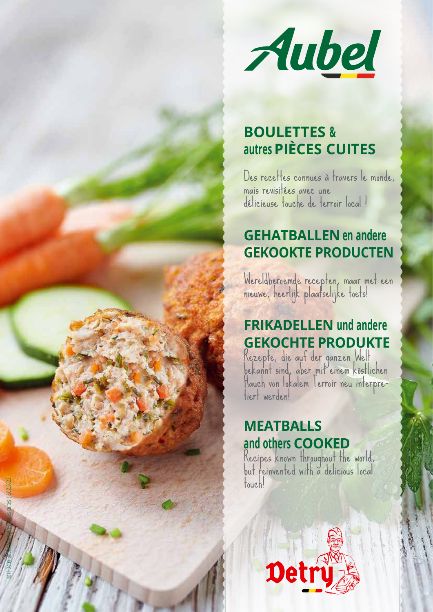

# **BOULETTES & autres PIÈCES CUITES**

Des recettes connues à travers le monde, mais revisitées avec une délicieuse touche de terroir local !

# **GEHATBALLEN en andere GEKOOKTE PRODUCTEN**

Wereldberoemde recepten, maar met een nieuwe, heerlijk plaatselijke toets!

# **FRIKADELLEN und andere GEKOCHTE PRODUKTE**<br>Rezepte, die auf der ganzen Welt

bekannt sind, aber mit einem köstlichen<br>Hauch von lokalem Terroir neu interpre-<br>tiert werden!

### **MEATBALLS and others COOKED**

1831 | Detry Bourettes & autres pièces cuites | 16.02.2022

Recipes known throughout the world, but reinvented with a delicious local touch!